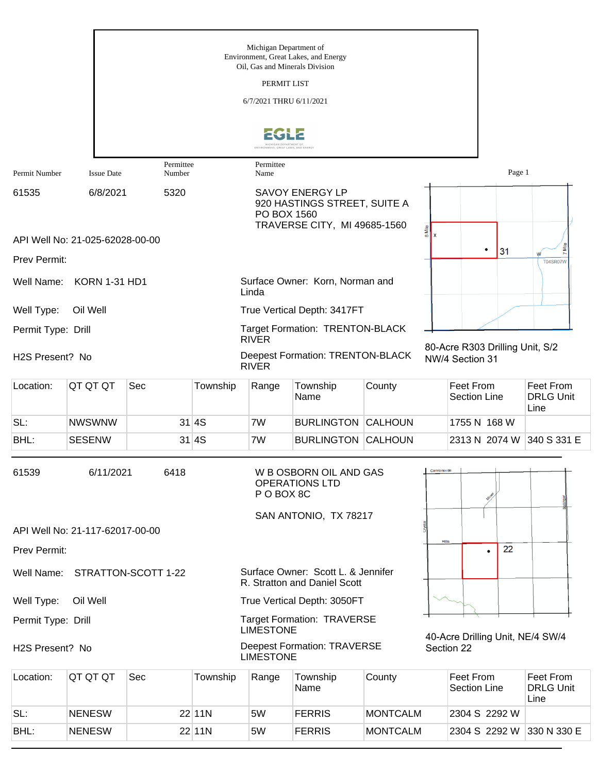|                    |                                 |                     |          | Michigan Department of                                                                                | Environment, Great Lakes, and Energy                               |                 |                              |                                                    |        |                                       |
|--------------------|---------------------------------|---------------------|----------|-------------------------------------------------------------------------------------------------------|--------------------------------------------------------------------|-----------------|------------------------------|----------------------------------------------------|--------|---------------------------------------|
|                    |                                 |                     |          | Oil, Gas and Minerals Division<br>PERMIT LIST                                                         |                                                                    |                 |                              |                                                    |        |                                       |
|                    |                                 |                     |          | 6/7/2021 THRU 6/11/2021                                                                               |                                                                    |                 |                              |                                                    |        |                                       |
|                    |                                 |                     |          |                                                                                                       |                                                                    |                 |                              |                                                    |        |                                       |
|                    |                                 |                     |          | MICHIGAN DEPARTMENT OF<br>ENVIRONMENT, GREAT LAKES, AND ENERG'                                        |                                                                    |                 |                              |                                                    |        |                                       |
| Permit Number      | <b>Issue Date</b>               | Permittee<br>Number |          | Permittee<br>Name                                                                                     |                                                                    |                 |                              |                                                    | Page 1 |                                       |
| 61535              | 6/8/2021                        | 5320                |          | <b>SAVOY ENERGY LP</b><br>920 HASTINGS STREET, SUITE A<br>PO BOX 1560<br>TRAVERSE CITY, MI 49685-1560 |                                                                    |                 |                              |                                                    |        |                                       |
|                    | API Well No: 21-025-62028-00-00 |                     |          |                                                                                                       |                                                                    |                 | 6 Mile<br>$\pmb{\mathsf{x}}$ |                                                    |        |                                       |
| Prev Permit:       |                                 |                     |          |                                                                                                       |                                                                    |                 |                              | ٠<br>31                                            |        | <b>T04SR07W</b>                       |
|                    | Well Name: KORN 1-31 HD1        |                     |          | Linda                                                                                                 | Surface Owner: Korn, Norman and                                    |                 |                              |                                                    |        |                                       |
| Well Type:         | Oil Well                        |                     |          |                                                                                                       | True Vertical Depth: 3417FT                                        |                 |                              |                                                    |        |                                       |
| Permit Type: Drill |                                 |                     |          | <b>RIVER</b>                                                                                          | Target Formation: TRENTON-BLACK                                    |                 |                              |                                                    |        |                                       |
| H2S Present? No    |                                 |                     |          | <b>RIVER</b>                                                                                          | <b>Deepest Formation: TRENTON-BLACK</b>                            |                 |                              | 80-Acre R303 Drilling Unit, S/2<br>NW/4 Section 31 |        |                                       |
| Location:          | QT QT QT                        | Sec                 | Township | Range                                                                                                 | Township<br>Name                                                   | County          |                              | Feet From<br><b>Section Line</b>                   |        | Feet From<br><b>DRLG Unit</b><br>Line |
| SL:                | <b>NWSWNW</b>                   |                     | 31 4S    | 7W                                                                                                    | <b>BURLINGTON CALHOUN</b>                                          |                 |                              | 1755 N 168 W                                       |        |                                       |
| BHL:               | <b>SESENW</b>                   |                     | 31 4S    | 7W                                                                                                    | <b>BURLINGTON CALHOUN</b>                                          |                 |                              | 2313 N 2074 W                                      |        | 340 S 331 E                           |
| 61539              | 6/11/2021                       | 6418                |          | P O BOX 8C                                                                                            | W B OSBORN OIL AND GAS<br><b>OPERATIONS LTD</b>                    |                 | <b>Cannonsville</b>          |                                                    |        |                                       |
|                    | API Well No: 21-117-62017-00-00 |                     |          |                                                                                                       | SAN ANTONIO, TX 78217                                              |                 |                              |                                                    |        |                                       |
| Prev Permit:       |                                 |                     |          |                                                                                                       |                                                                    |                 | Hillis                       | $\bullet$                                          | 22     |                                       |
| Well Name:         |                                 | STRATTON-SCOTT 1-22 |          |                                                                                                       | Surface Owner: Scott L. & Jennifer<br>R. Stratton and Daniel Scott |                 |                              |                                                    |        |                                       |
| Well Type:         | Oil Well                        |                     |          |                                                                                                       | True Vertical Depth: 3050FT                                        |                 |                              |                                                    |        |                                       |
| Permit Type: Drill |                                 |                     |          | <b>LIMESTONE</b>                                                                                      | <b>Target Formation: TRAVERSE</b>                                  |                 |                              | 40-Acre Drilling Unit, NE/4 SW/4                   |        |                                       |
| H2S Present? No    |                                 |                     |          | <b>LIMESTONE</b>                                                                                      | <b>Deepest Formation: TRAVERSE</b>                                 |                 |                              | Section 22                                         |        |                                       |
| Location:          | QT QT QT                        | Sec                 | Township | Range                                                                                                 | Township<br>Name                                                   | County          |                              | Feet From<br>Section Line                          |        | Feet From<br><b>DRLG Unit</b><br>Line |
| SL:                | <b>NENESW</b>                   |                     | 22 11N   | 5W                                                                                                    | <b>FERRIS</b>                                                      | <b>MONTCALM</b> |                              | 2304 S 2292 W                                      |        |                                       |

BHL: NENESW 22 11N 5W FERRIS MONTCALM 2304 S 2292 W 330 N 330 E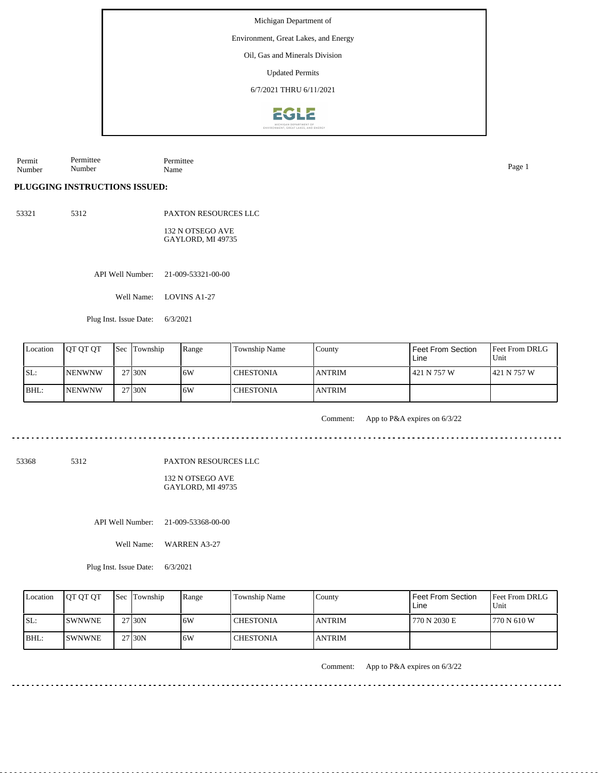Environment, Great Lakes, and Energy

Oil, Gas and Minerals Division

Updated Permits

6/7/2021 THRU 6/11/2021



Permit Number Permittee Number Permittee Name Page 1

#### **PLUGGING INSTRUCTIONS ISSUED:**

53321 5312 PAXTON RESOURCES LLC

> 132 N OTSEGO AVE GAYLORD, MI 49735

API Well Number: 21-009-53321-00-00

Well Name: LOVINS A1-27

Plug Inst. Issue Date: 6/3/2021

| Location | <b>IOT OT OT</b> | 'Sec | Township | Range | <b>Township Name</b> | County         | Feet From Section<br>Line | <b>Feet From DRLG</b><br>Unit |
|----------|------------------|------|----------|-------|----------------------|----------------|---------------------------|-------------------------------|
| SL:      | <b>INENWNW</b>   |      | 27 30N   | 16W   | l CHESTONIA          | <b>LANTRIM</b> | 421 N 757 W               | 1421 N 757 W                  |
| BHL:     | <b>NENWNW</b>    |      | 27 30N   | 16W   | I CHESTONIA          | <b>LANTRIM</b> |                           |                               |

Comment: App to P&A expires on 6/3/22

53368 5312

PAXTON RESOURCES LLC

132 N OTSEGO AVE GAYLORD, MI 49735

API Well Number: 21-009-53368-00-00

Well Name: WARREN A3-27

Plug Inst. Issue Date: 6/3/2021

| Location | <b>OT OT OT</b> | <b>Sec</b> Township | Range | <b>Township Name</b> | County        | <b>Feet From Section</b><br>Line | <b>Feet From DRLG</b><br>Unit |
|----------|-----------------|---------------------|-------|----------------------|---------------|----------------------------------|-------------------------------|
| ISL:     | <b>ISWNWNE</b>  | 27 30N              | .6W   | <b>CHESTONIA</b>     | <b>ANTRIM</b> | 770 N 2030 E                     | 1770 N 610 W                  |
| $IBHL$ : | <b>ISWNWNE</b>  | 27 30N              | .6W   | <b>CHESTONIA</b>     | <b>ANTRIM</b> |                                  |                               |

Comment: App to P&A expires on 6/3/22

 $- - - - - - - - -$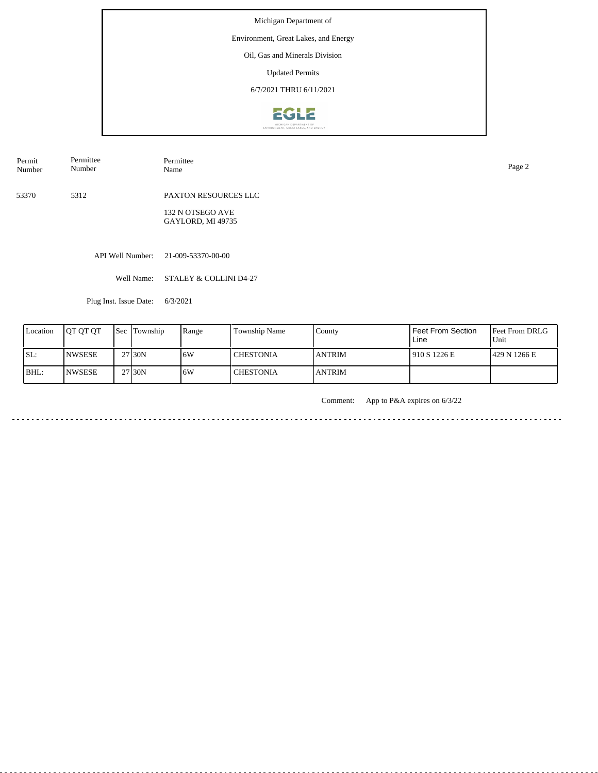## Environment, Great Lakes, and Energy

Oil, Gas and Minerals Division

Updated Permits

6/7/2021 THRU 6/11/2021



| Permit<br>Number | Permittee<br>Number | Permittee<br>Name | Page 2 |
|------------------|---------------------|-------------------|--------|
|                  |                     |                   |        |

53370 5312 PAXTON RESOURCES LLC

> 132 N OTSEGO AVE GAYLORD, MI 49735

API Well Number: 21-009-53370-00-00

Well Name: STALEY & COLLINI D4-27

Plug Inst. Issue Date: 6/3/2021

| Location | <b>IOT OT OT</b> | <b>Sec Township</b> | Range | Township Name | County        | Feet From Section<br>Line | <b>Feet From DRLG</b><br>Unit |
|----------|------------------|---------------------|-------|---------------|---------------|---------------------------|-------------------------------|
| SL:      | <b>NWSESE</b>    | 27 30N              | ا 6W  | l CHESTONIA   | <b>ANTRIM</b> | 910 S 1226 E              | 429 N 1266 E                  |
| BHL:     | <b>INWSESE</b>   | 27 <sub>130</sub> N | 16W   | l CHESTONIA   | <b>ANTRIM</b> |                           |                               |

Comment: App to P&A expires on 6/3/22

<u>. . . . . . . . . . . . . . . . . .</u>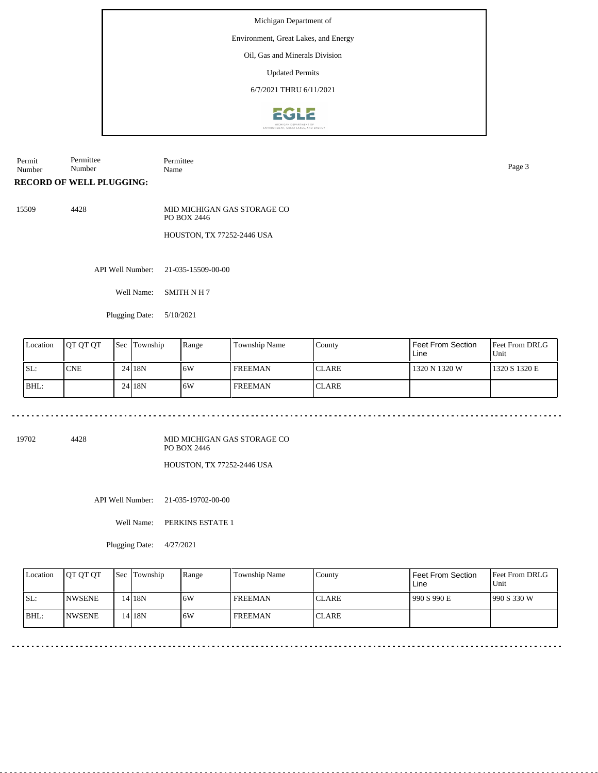#### Environment, Great Lakes, and Energy

Oil, Gas and Minerals Division

Updated Permits

6/7/2021 THRU 6/11/2021



Permit Number Permittee Number Permittee Name Page 3

**RECORD OF WELL PLUGGING:**

15509 4428 MID MICHIGAN GAS STORAGE CO PO BOX 2446 HOUSTON, TX 77252-2446 USA

API Well Number: 21-035-15509-00-00

Well Name: SMITH N H 7

Plugging Date: 5/10/2021

| Location | <b>JOT OT OT</b> | <b>Sec Township</b> | Range | Township Name  | County        | l Feet From Section<br>Line | Feet From DRLG<br>Unit |
|----------|------------------|---------------------|-------|----------------|---------------|-----------------------------|------------------------|
| ISL:     | <b>CNE</b>       | 24 18N              | 16W   | <b>FREEMAN</b> | <b>CLARE</b>  | 1320 N 1320 W               | 1320 S 1320 E          |
| BHL:     |                  | 24 <sub>18N</sub>   | 16W   | <b>FREEMAN</b> | <b>ICLARE</b> |                             |                        |

19702 4428

MID MICHIGAN GAS STORAGE CO PO BOX 2446

HOUSTON, TX 77252-2446 USA

API Well Number: 21-035-19702-00-00

Well Name: PERKINS ESTATE 1

Plugging Date: 4/27/2021

| Location | <b>IOT OT OT</b> | <b>Sec</b> Township | Range | Township Name  | County       | Feet From Section<br>Line | <b>Feet From DRLG</b><br>Unit |
|----------|------------------|---------------------|-------|----------------|--------------|---------------------------|-------------------------------|
| SL:      | <b>INWSENE</b>   | 14 <sub>18N</sub>   | 6W    | <b>FREEMAN</b> | <b>CLARE</b> | 990 S 990 E               | 990 S 330 W                   |
| BHL:     | <b>INWSENE</b>   | 14 18N              | 6W    | <b>FREEMAN</b> | <b>CLARE</b> |                           |                               |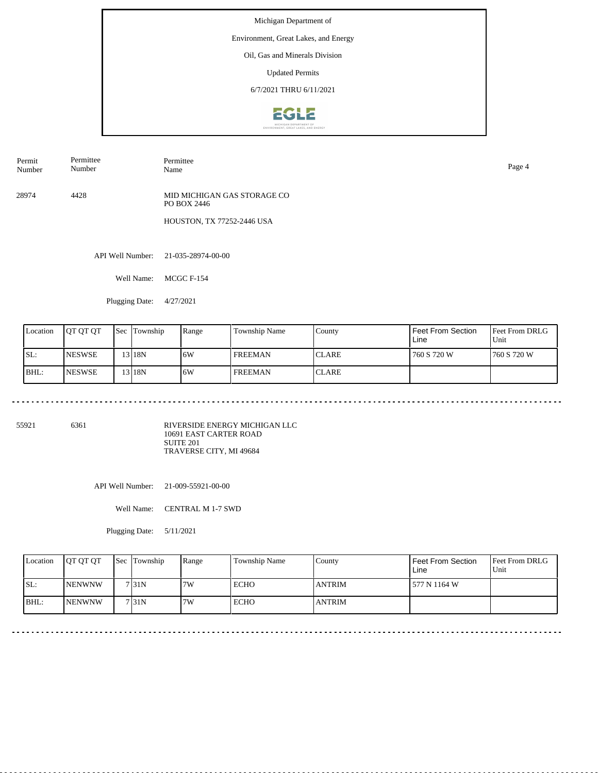## Environment, Great Lakes, and Energy

Oil, Gas and Minerals Division

Updated Permits

6/7/2021 THRU 6/11/2021



| Permit | Permittee | Permittee |
|--------|-----------|-----------|
| Number | Number    | Name      |

28974 4428 MID MICHIGAN GAS STORAGE CO PO BOX 2446

HOUSTON, TX 77252-2446 USA

API Well Number: 21-035-28974-00-00

Well Name: MCGC F-154

Plugging Date: 4/27/2021

| Location | <b>IOT OT OT</b> | <b>Sec</b> | Township          | Range | Township Name  | County        | Feet From Section<br>Line | <b>Feet From DRLG</b><br>Unit |
|----------|------------------|------------|-------------------|-------|----------------|---------------|---------------------------|-------------------------------|
| ISL:     | <b>INESWSE</b>   |            | 13 <sub>18N</sub> | 6W    | <b>FREEMAN</b> | <b>CLARE</b>  | 760 S 720 W               | 1760 S 720 W                  |
| BHL:     | <b>INESWSE</b>   |            | 13 <sub>18N</sub> | 16W   | <b>FREEMAN</b> | <b>ICLARE</b> |                           |                               |

55921 6361

RIVERSIDE ENERGY MICHIGAN LLC 10691 EAST CARTER ROAD SUITE 201 TRAVERSE CITY, MI 49684

API Well Number: 21-009-55921-00-00

Well Name: CENTRAL M 1-7 SWD

Plugging Date: 5/11/2021

 $-$ 

<u>. . . . . . . . . . . . .</u>

| Location | <b>OT OT OT</b> | <b>Sec Township</b> | Range | Township Name | County        | l Feet From Section<br>Line | <b>Feet From DRLG</b><br>Unit |
|----------|-----------------|---------------------|-------|---------------|---------------|-----------------------------|-------------------------------|
| SL:      | <b>INENWNW</b>  | 7 31 N              | 7W    | <b>ECHO</b>   | <b>ANTRIM</b> | 1577 N 1164 W               |                               |
| BHL:     | <b>INENWNW</b>  | 7131N               | 7W    | <b>ECHO</b>   | <b>ANTRIM</b> |                             |                               |

Name Page 4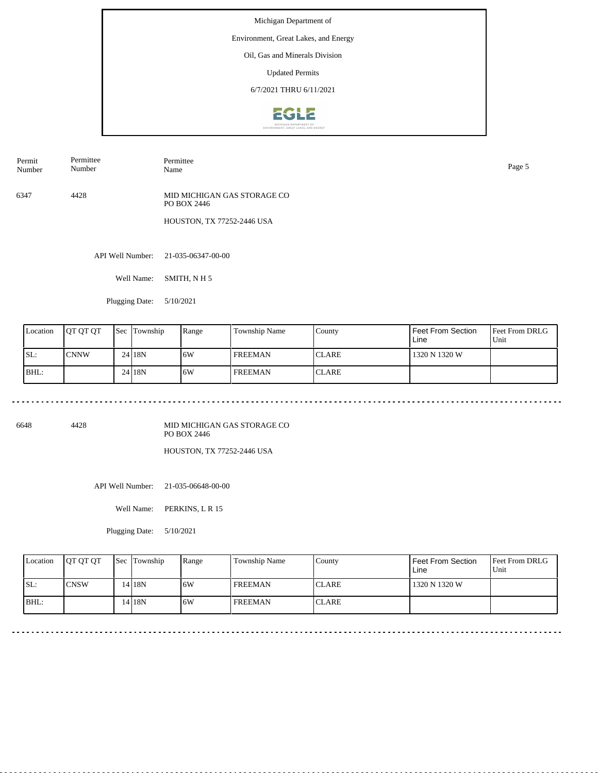## Environment, Great Lakes, and Energy

Oil, Gas and Minerals Division

Updated Permits

6/7/2021 THRU 6/11/2021



| Permit<br>Number | Permittee<br>$\sim$ $\sim$<br>Number | Permittee<br>Name<br>- | Page |
|------------------|--------------------------------------|------------------------|------|
|                  |                                      |                        |      |

6347 4428 MID MICHIGAN GAS STORAGE CO PO BOX 2446

HOUSTON, TX 77252-2446 USA

API Well Number: 21-035-06347-00-00

Well Name: SMITH, N H 5

Plugging Date: 5/10/2021

| Location | <b>IOT OT OT</b> | <b>Sec</b> | Township | Range | Township Name | County        | Feet From Section<br>Line | <b>Feet From DRLG</b><br>Unit |
|----------|------------------|------------|----------|-------|---------------|---------------|---------------------------|-------------------------------|
| ISL:     | <b>CNNW</b>      |            | 24 18N   | 16W   | l FREEMAN     | <b>CLARE</b>  | 1320 N 1320 W             |                               |
| BHL:     |                  |            | 24 18 N  | 6W    | l FREEMAN     | <b>ICLARE</b> |                           |                               |

6648 4428

MID MICHIGAN GAS STORAGE CO PO BOX 2446

HOUSTON, TX 77252-2446 USA

API Well Number: 21-035-06648-00-00

Well Name: PERKINS, L R 15

Plugging Date: 5/10/2021

| Location | <b>OT OT OT</b> | <b>Sec Township</b> | Range | Township Name  | Countv       | Feet From Section<br>Line | <b>Feet From DRLG</b><br>Unit |
|----------|-----------------|---------------------|-------|----------------|--------------|---------------------------|-------------------------------|
| ISL:     | ICNSW           | 14 I 8N             | 16W   | <b>FREEMAN</b> | <b>CLARE</b> | 1320 N 1320 W             |                               |
| BHL:     |                 | $14$   18N          | 16W   | <b>FREEMAN</b> | <b>CLARE</b> |                           |                               |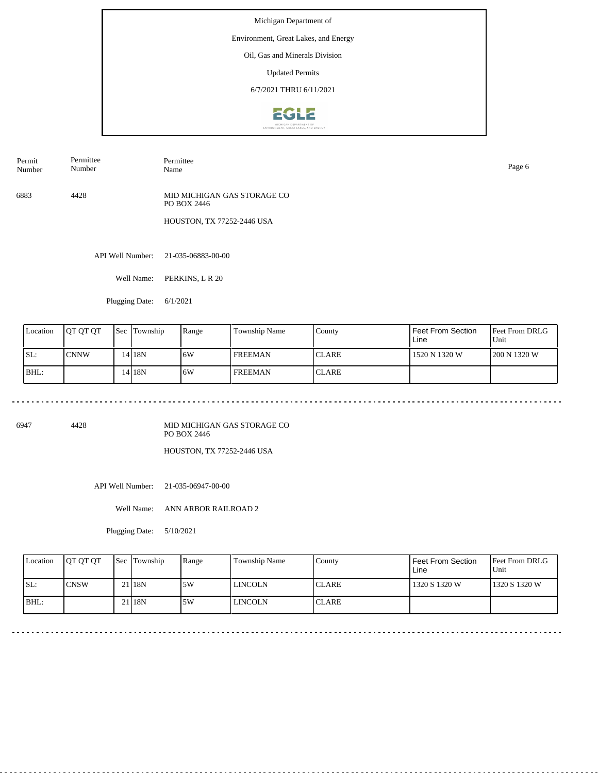## Environment, Great Lakes, and Energy

Oil, Gas and Minerals Division

Updated Permits

6/7/2021 THRU 6/11/2021



6883 4428 MID MICHIGAN GAS STORAGE CO PO BOX 2446

HOUSTON, TX 77252-2446 USA

API Well Number: 21-035-06883-00-00

Well Name: PERKINS, L R 20

Plugging Date: 6/1/2021

| Location | IOT OT OT   | Sec | Township          | Range | Township Name  | County        | Feet From Section<br>Line | <b>Feet From DRLG</b><br>Unit |
|----------|-------------|-----|-------------------|-------|----------------|---------------|---------------------------|-------------------------------|
| ISL:     | <b>CNNW</b> |     | 14 <sub>18N</sub> | 16W   | <b>FREEMAN</b> | <b>ICLARE</b> | 1520 N 1320 W             | 200 N 1320 W                  |
| BHL:     |             |     | 14 I 18 N         | 16W   | <b>FREEMAN</b> | <b>ICLARE</b> |                           |                               |

6947 4428

MID MICHIGAN GAS STORAGE CO PO BOX 2446

HOUSTON, TX 77252-2446 USA

API Well Number: 21-035-06947-00-00

Well Name: ANN ARBOR RAILROAD 2

<u>. . . . . . . . . . . . . . . . . .</u>

Plugging Date: 5/10/2021

| Location | <b>OT OT OT</b> | <b>Sec Township</b> | Range | Township Name | County        | Feet From Section<br>Line | <b>Feet From DRLG</b><br>Unit |
|----------|-----------------|---------------------|-------|---------------|---------------|---------------------------|-------------------------------|
| ISL:     | ICNSW           | 21 18N              | 15W   | LINCOLN       | <b>ICLARE</b> | 1320 S 1320 W             | 1320 S 1320 W                 |
| BHL:     |                 | 21 18N              | 15W   | LINCOLN       | <b>ICLARE</b> |                           |                               |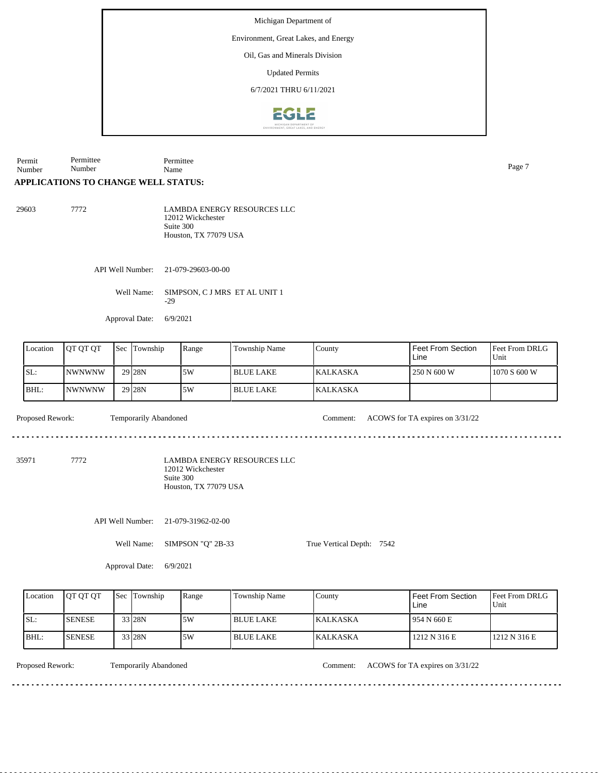Environment, Great Lakes, and Energy

Oil, Gas and Minerals Division

Updated Permits

6/7/2021 THRU 6/11/2021



Permit Number Permittee Number Permittee Name Page 7

# **APPLICATIONS TO CHANGE WELL STATUS:**

| 29603 | 7772 | <b>LAMBDA ENERGY RESOURCES LLC</b> |
|-------|------|------------------------------------|
|       |      | 12012 Wickchester                  |
|       |      | Suite 300                          |
|       |      | Houston. TX 77079 USA              |

API Well Number: 21-079-29603-00-00

Well Name: SIMPSON, C J MRS ET AL UNIT 1 -29

Approval Date: 6/9/2021

| Location | <b>IOT OT OT</b> | <b>Sec Township</b> | Range | Township Name    | County           | Feet From Section<br>Line | <b>Feet From DRLG</b><br>Unit |
|----------|------------------|---------------------|-------|------------------|------------------|---------------------------|-------------------------------|
| SL:      | INWNWNW          | 29 <sub>28N</sub>   | 5W    | <b>BLUE LAKE</b> | <b>IKALKASKA</b> | 250 N 600 W               | 1070 S 600 W                  |
| BHL:     | INWNWNW          | 29 <sub>28N</sub>   | 5W    | I BLUE LAKE      | <b>IKALKASKA</b> |                           |                               |

Proposed Rework: Temporarily Abandoned Comment: ACOWS for TA expires on  $3/31/22$ 

35971 7772

LAMBDA ENERGY RESOURCES LLC 12012 Wickchester Suite 300 Houston, TX 77079 USA

API Well Number: 21-079-31962-02-00

Well Name: SIMPSON "Q" 2B-33

True Vertical Depth: 7542

Approval Date: 6/9/2021

| Location | <b>IOT OT OT</b> | <b>Sec Township</b> | Range | Township Name    | County           | Feet From Section<br>Line | <b>Feet From DRLG</b><br>Unit |
|----------|------------------|---------------------|-------|------------------|------------------|---------------------------|-------------------------------|
| ISL:     | <b>SENESE</b>    | 33 28N              | 5W    | <b>BLUE LAKE</b> | <b>IKALKASKA</b> | 954 N 660 E               |                               |
| BHL:     | <b>SENESE</b>    | 33 28N              | 5W    | <b>BLUE LAKE</b> | <b>KALKASKA</b>  | 1212 N 316 E              | 1212 N 316 E                  |

Temporarily Abandoned

Proposed Rework: Temporarily Abandoned Comment: ACOWS for TA expires on  $3/31/22$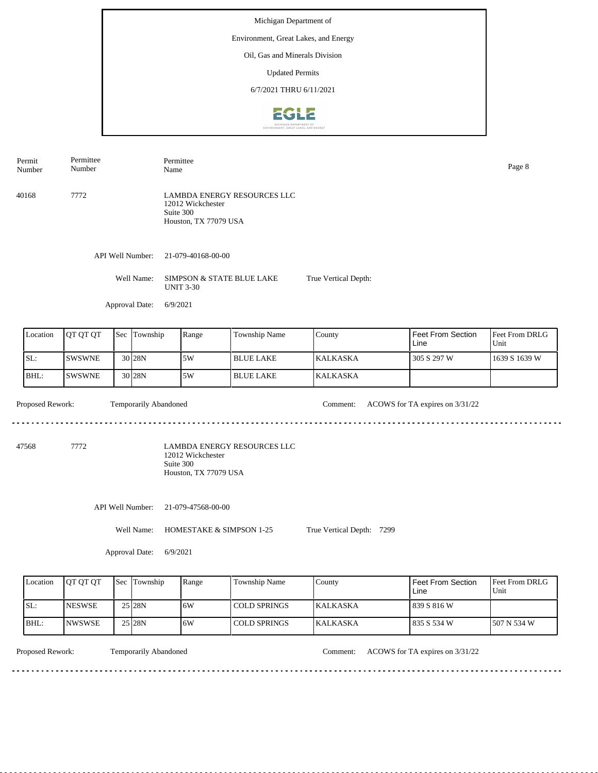#### Environment, Great Lakes, and Energy

Oil, Gas and Minerals Division

Updated Permits

6/7/2021 THRU 6/11/2021



Permittee Permit Permittee Number Name Page 8 Number 40168 7772 LAMBDA ENERGY RESOURCES LLC 12012 Wickchester Suite 300 Houston, TX 77079 USA API Well Number: 21-079-40168-00-00 Well Name: SIMPSON & STATE BLUE LAKE True Vertical Depth: UNIT 3-30 Approval Date: 6/9/2021 Location  $QT QT T$  Sec Township Range Township Name Feet From Section Township **County** Feet From DRLG Unit Line SL: SWSWNE 5W BLUE LAKE KALKASKA 305 S 297 W 1639 S 1639 W 30 28N BHL: SWSWNE 30 28N 5W BLUE LAKE KALKASKA Proposed Rework: Temporarily Abandoned Comment: ACOWS for TA expires on  $3/31/22$ Temporarily Abandoned <u>. . . . . . . . .</u> 

47568 7772

LAMBDA ENERGY RESOURCES LLC 12012 Wickchester Suite 300 Houston, TX 77079 USA

API Well Number: 21-079-47568-00-00

Well Name: HOMESTAKE & SIMPSON 1-25 True Vertical Depth: 7299

<u>. . . . . . . . .</u>

Approval Date: 6/9/2021

| Location | <b>IOT OT OT</b> | <b>Sec</b> Township | Range | Township Name | County           | <b>Feet From Section</b><br>Line | <b>Feet From DRLG</b><br>Unit |
|----------|------------------|---------------------|-------|---------------|------------------|----------------------------------|-------------------------------|
| ISL:     | <b>INESWSE</b>   | 25 28N              | 16W   | LCOLD SPRINGS | <b>IKALKASKA</b> | 839 S 816 W                      |                               |
| BHL:     | INWSWSE          | 25 28N              | 16W   | COLD SPRINGS  | <b>KALKASKA</b>  | 1835 S 534 W                     | 1507 N 534 W                  |

Temporarily Abandoned

Proposed Rework: Temporarily Abandoned Comment: ACOWS for TA expires on  $3/31/22$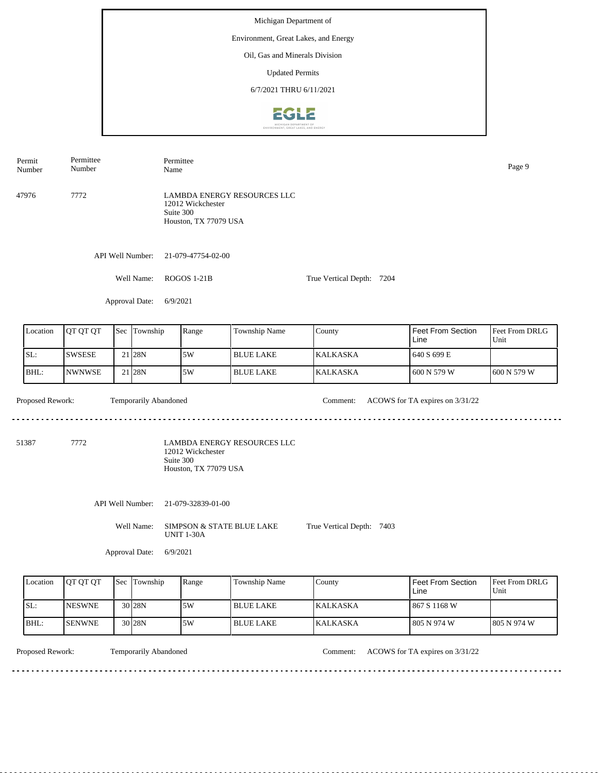Michigan Department of Environment, Great Lakes, and Energy Oil, Gas and Minerals Division Updated Permits 6/7/2021 THRU 6/11/20212612

Permittee Permit Permittee Number Name Page 9 Number LAMBDA ENERGY RESOURCES LLC 47976 7772 12012 Wickchester Suite 300 Houston, TX 77079 USA API Well Number: 21-079-47754-02-00 Well Name: ROGOS 1-21B True Vertical Depth: 7204 Approval Date: 6/9/2021 Feet From DRLG Feet From Section Location | QT QT QT | Sec | Township | Range | Township Name Sec Township County Line Unit SL: SWSESE 5W BLUE LAKE KALKASKA 640 S 699 E 21 28N BHL: NWNWSE 21 28N 5W BLUE LAKE KALKASKA 600 N 579 W 600 N 579 W Proposed Rework: Temporarily Abandoned Comment: ACOWS for TA expires on  $3/31/22$ Temporarily Abandoned <u>. . . . . . . . .</u> 51387 7772 LAMBDA ENERGY RESOURCES LLC 12012 Wickchester Suite 300 Houston, TX 77079 USA API Well Number: 21-079-32839-01-00 Well Name: SIMPSON & STATE BLUE LAKE True Vertical Depth: 7403 UNIT 1-30A Approval Date: 6/9/2021

| Location | <b>OT OT OT</b> | Sec Township      | Range | <b>Township Name</b> | County           | l Feet From Section<br>Line | <b>Feet From DRLG</b><br>Unit |
|----------|-----------------|-------------------|-------|----------------------|------------------|-----------------------------|-------------------------------|
| SL:      | <b>INESWNE</b>  | 30 <sub>28N</sub> | 5W    | <b>BLUE LAKE</b>     | <b>IKALKASKA</b> | l 867 S 1168 W              |                               |
| BHL:     | <b>ISENWNE</b>  | 30 <sub>28N</sub> | 5W    | <b>BLUE LAKE</b>     | <b>KALKASKA</b>  | l 805 N 974 W               | 1805 N 974 W                  |

Temporarily Abandoned

Proposed Rework: Temporarily Abandoned Comment: ACOWS for TA expires on  $3/31/22$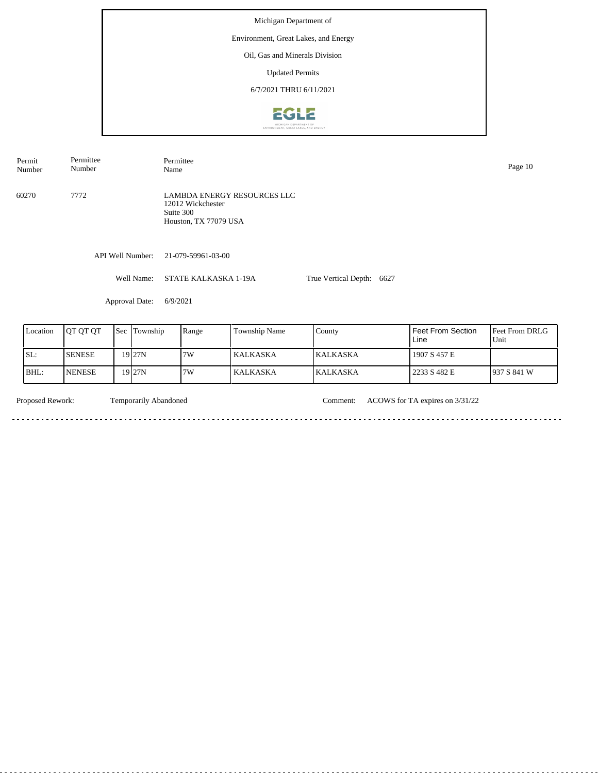## Environment, Great Lakes, and Energy

Oil, Gas and Minerals Division

Updated Permits

6/7/2021 THRU 6/11/2021



60270 7772 LAMBDA ENERGY RESOURCES LLC 12012 Wickchester Suite 300 Houston, TX 77079 USA Permit Number Permittee Number Permittee Name Page 10

API Well Number: 21-079-59961-03-00

Well Name: STATE KALKASKA 1-19A

True Vertical Depth: 6627

Approval Date: 6/9/2021

| Location | <b>IOT OT OT</b> | <b>Sec Township</b> | Range | <b>Township Name</b> | County           | Feet From Section<br>Line | <b>Feet From DRLG</b><br>Unit |
|----------|------------------|---------------------|-------|----------------------|------------------|---------------------------|-------------------------------|
| SL:      | <b>ISENESE</b>   | 19 <sub>27N</sub>   | 17W   | l KALKASKA.          | <b>IKALKASKA</b> | 1907 S 457 E              |                               |
| BHL:     | <b>INENESE</b>   | 19 <sub>27N</sub>   | 17W   | KALKASKA             | <b>KALKASKA</b>  | 2233 S 482 E              | 1937 S 841 W                  |

. . . . . . . . . . . . . . . . . .

 $\sim$ 

Temporarily Abandoned

Proposed Rework: Temporarily Abandoned Comment: ACOWS for TA expires on  $3/31/22$